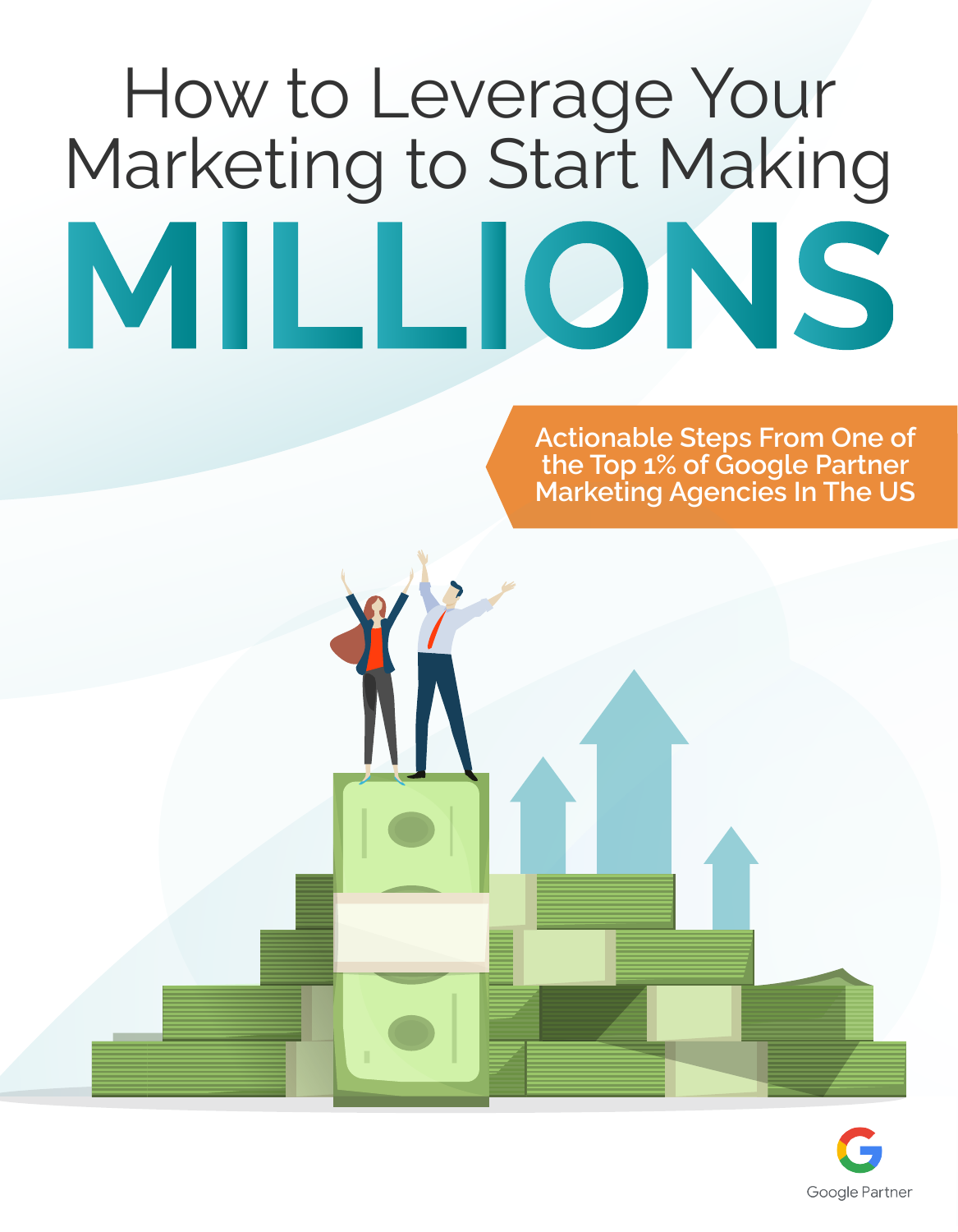# How to Leverage Your Marketing to Start Making MILLIONS

**Actionable Steps From One of the Top 1% of Google Partner Marketing Agencies In The US**

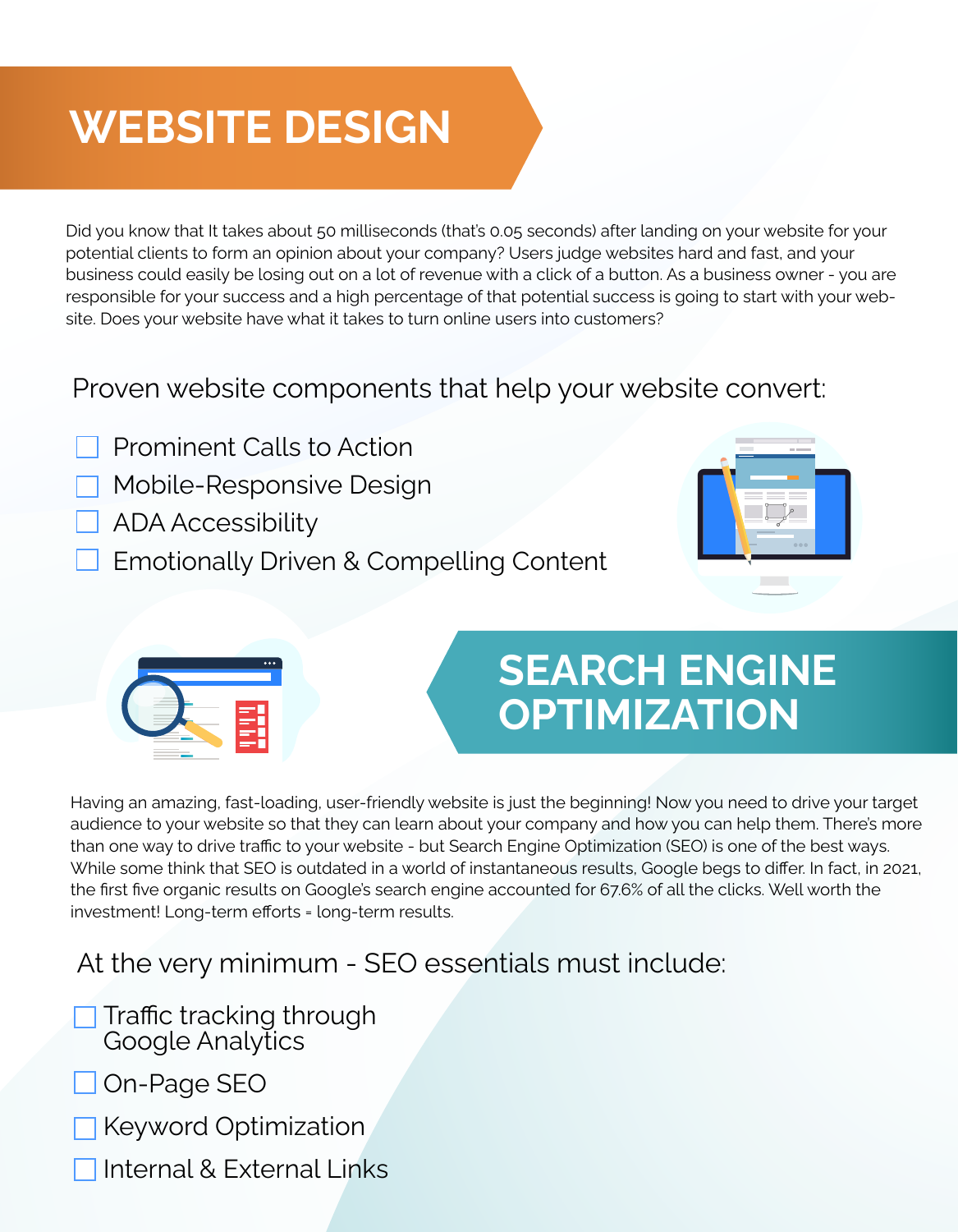# **WEBSITE DESIGN**

Did you know that It takes about 50 milliseconds (that's 0.05 seconds) after landing on your website for your potential clients to form an opinion about your company? Users judge websites hard and fast, and your business could easily be losing out on a lot of revenue with a click of a button. As a business owner - you are responsible for your success and a high percentage of that potential success is going to start with your website. Does your website have what it takes to turn online users into customers?

### Proven website components that help your website convert:

- Prominent Calls to Action
- Mobile-Responsive Design
- ADA Accessibility
- Emotionally Driven & Compelling Content





## **SEARCH ENGINE OPTIMIZATION**

Having an amazing, fast-loading, user-friendly website is just the beginning! Now you need to drive your target audience to your website so that they can learn about your company and how you can help them. There's more than one way to drive traffic to your website - but Search Engine Optimization (SEO) is one of the best ways. While some think that SEO is outdated in a world of instantaneous results, Google begs to differ. In fact, in 2021, the first five organic results on Google's search engine accounted for 67.6% of all the clicks. Well worth the investment! Long-term efforts = long-term results.

## At the very minimum - SEO essentials must include:

- Traffic tracking through Google Analytics
- On-Page SEO
- Keyword Optimization
- Internal & External Links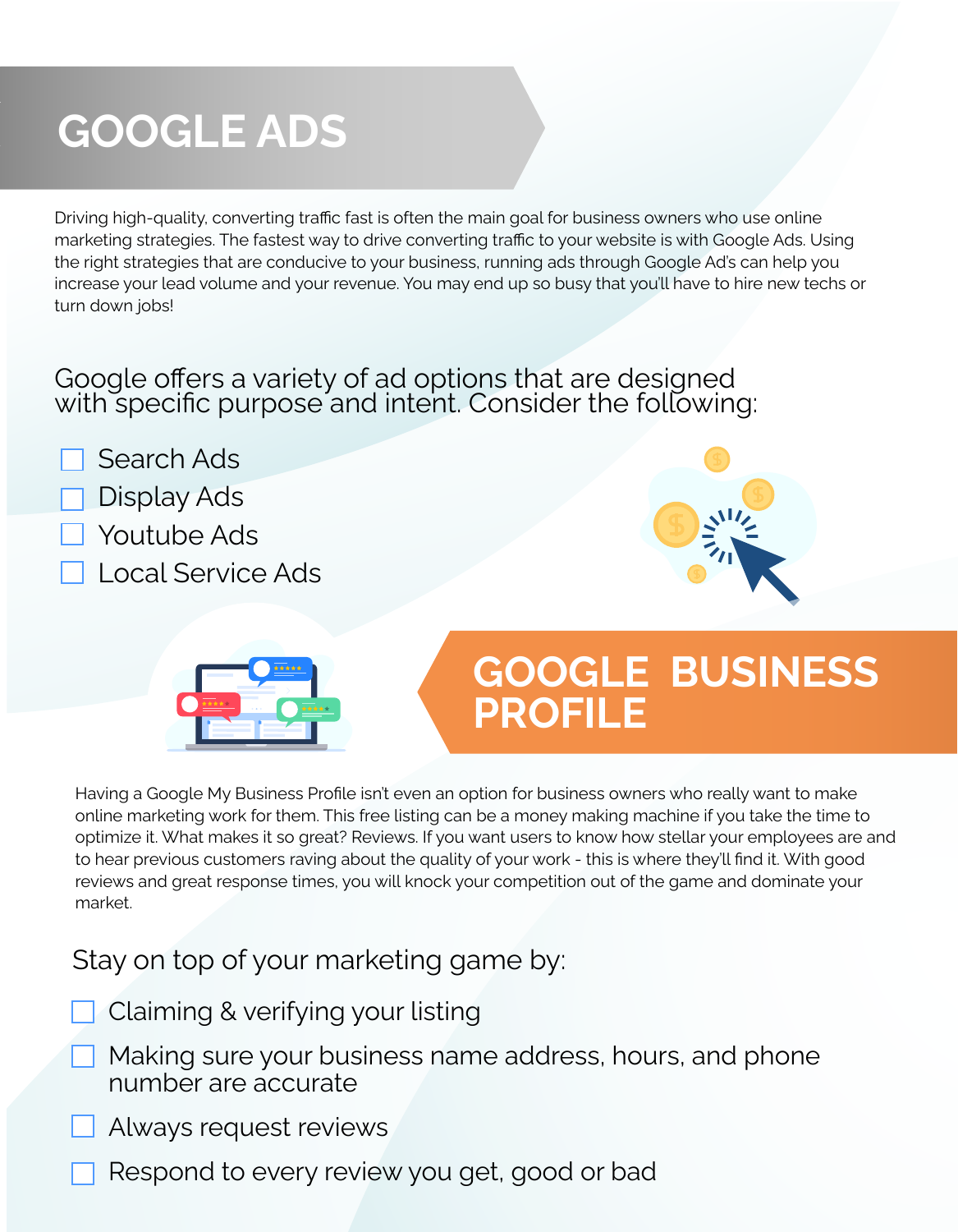# **GOOGLE ADS**

Driving high-quality, converting traffic fast is often the main goal for business owners who use online marketing strategies. The fastest way to drive converting traffic to your website is with Google Ads. Using the right strategies that are conducive to your business, running ads through Google Ad's can help you increase your lead volume and your revenue. You may end up so busy that you'll have to hire new techs or turn down jobs!

#### Google offers a variety of ad options that are designed with specific purpose and intent. Consider the following:

Search Ads

## **Display Ads**

- Youtube Ads
- Local Service Ads





## **GOOGLE BUSINESS PROFILE**

Having a Google My Business Profile isn't even an option for business owners who really want to make online marketing work for them. This free listing can be a money making machine if you take the time to optimize it. What makes it so great? Reviews. If you want users to know how stellar your employees are and to hear previous customers raving about the quality of your work - this is where they'll find it. With good reviews and great response times, you will knock your competition out of the game and dominate your market.

## Stay on top of your marketing game by:

- Claiming & verifying your listing
- Making sure your business name address, hours, and phone number are accurate
- Always request reviews
- Respond to every review you get, good or bad